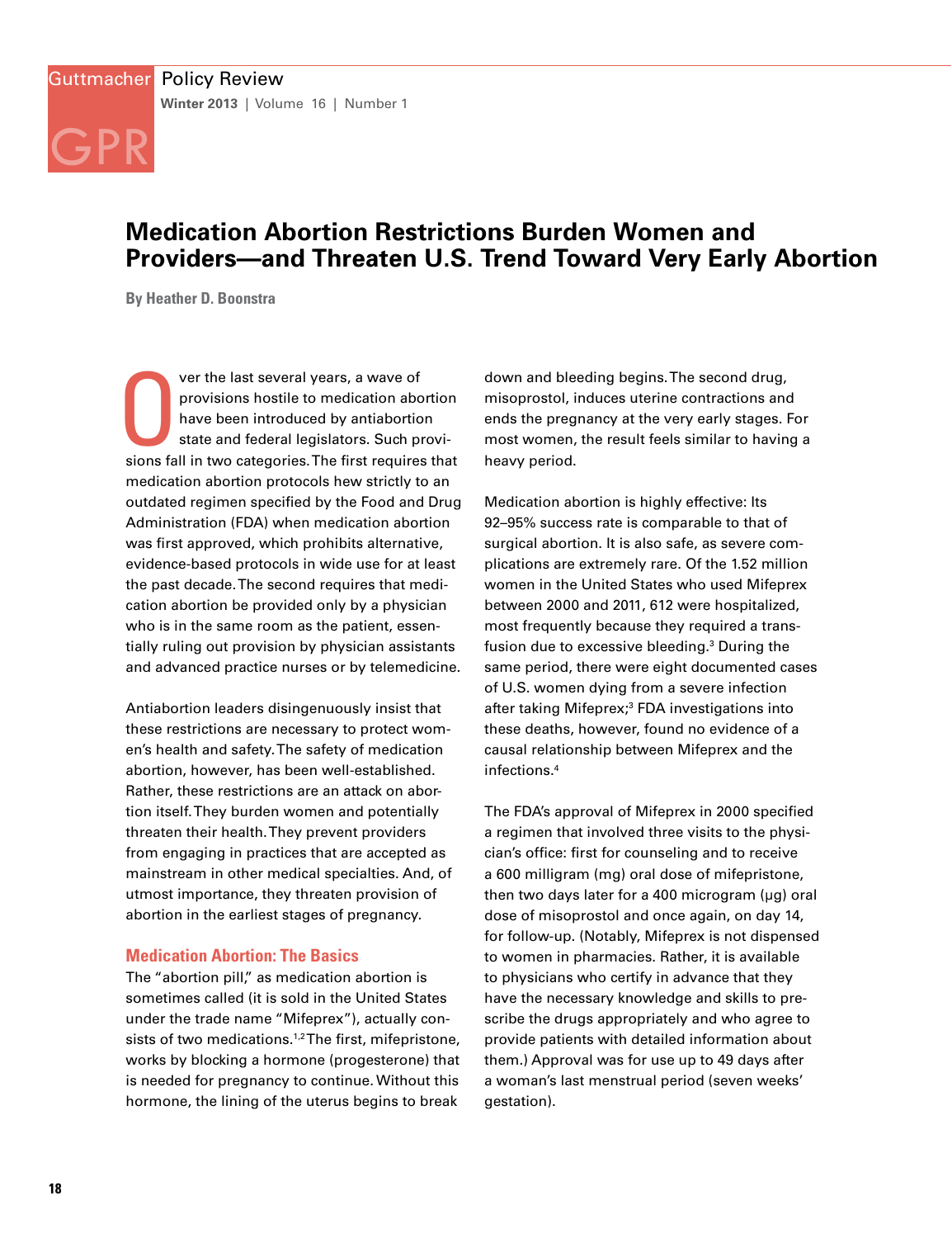# **Medication Abortion Restrictions Burden Women and Providers—and Threaten U.S. Trend Toward Very Early Abortion**

**By Heather D. Boonstra**

GPR

Ver the last several years, a wave of<br>provisions hostile to medication abortion<br>have been introduced by antiabortion<br>state and federal legislators. Such provi-<br>sions fall in two categories. The first requires that ver the last several years, a wave of provisions hostile to medication abortion have been introduced by antiabortion state and federal legislators. Such provimedication abortion protocols hew strictly to an outdated regimen specified by the Food and Drug Administration (FDA) when medication abortion was first approved, which prohibits alternative, evidence-based protocols in wide use for at least the past decade. The second requires that medication abortion be provided only by a physician who is in the same room as the patient, essentially ruling out provision by physician assistants and advanced practice nurses or by telemedicine.

Antiabortion leaders disingenuously insist that these restrictions are necessary to protect women's health and safety. The safety of medication abortion, however, has been well-established. Rather, these restrictions are an attack on abortion itself. They burden women and potentially threaten their health. They prevent providers from engaging in practices that are accepted as mainstream in other medical specialties. And, of utmost importance, they threaten provision of abortion in the earliest stages of pregnancy.

#### **Medication Abortion: The Basics**

The "abortion pill," as medication abortion is sometimes called (it is sold in the United States under the trade name "Mifeprex"), actually consists of two medications.<sup>1,2</sup> The first, mifepristone, works by blocking a hormone (progesterone) that is needed for pregnancy to continue. Without this hormone, the lining of the uterus begins to break

down and bleeding begins. The second drug, misoprostol, induces uterine contractions and ends the pregnancy at the very early stages. For most women, the result feels similar to having a heavy period.

Medication abortion is highly effective: Its 92–95% success rate is comparable to that of surgical abortion. It is also safe, as severe complications are extremely rare. Of the 1.52 million women in the United States who used Mifeprex between 2000 and 2011, 612 were hospitalized, most frequently because they required a transfusion due to excessive bleeding.3 During the same period, there were eight documented cases of U.S. women dying from a severe infection after taking Mifeprex;<sup>3</sup> FDA investigations into these deaths, however, found no evidence of a causal relationship between Mifeprex and the infections.4

The FDA's approval of Mifeprex in 2000 specified a regimen that involved three visits to the physician's office: first for counseling and to receive a 600 milligram (mg) oral dose of mifepristone, then two days later for a 400 microgram ( $\mu$ g) oral dose of misoprostol and once again, on day 14, for follow-up. (Notably, Mifeprex is not dispensed to women in pharmacies. Rather, it is available to physicians who certify in advance that they have the necessary knowledge and skills to prescribe the drugs appropriately and who agree to provide patients with detailed information about them.) Approval was for use up to 49 days after a woman's last menstrual period (seven weeks' gestation).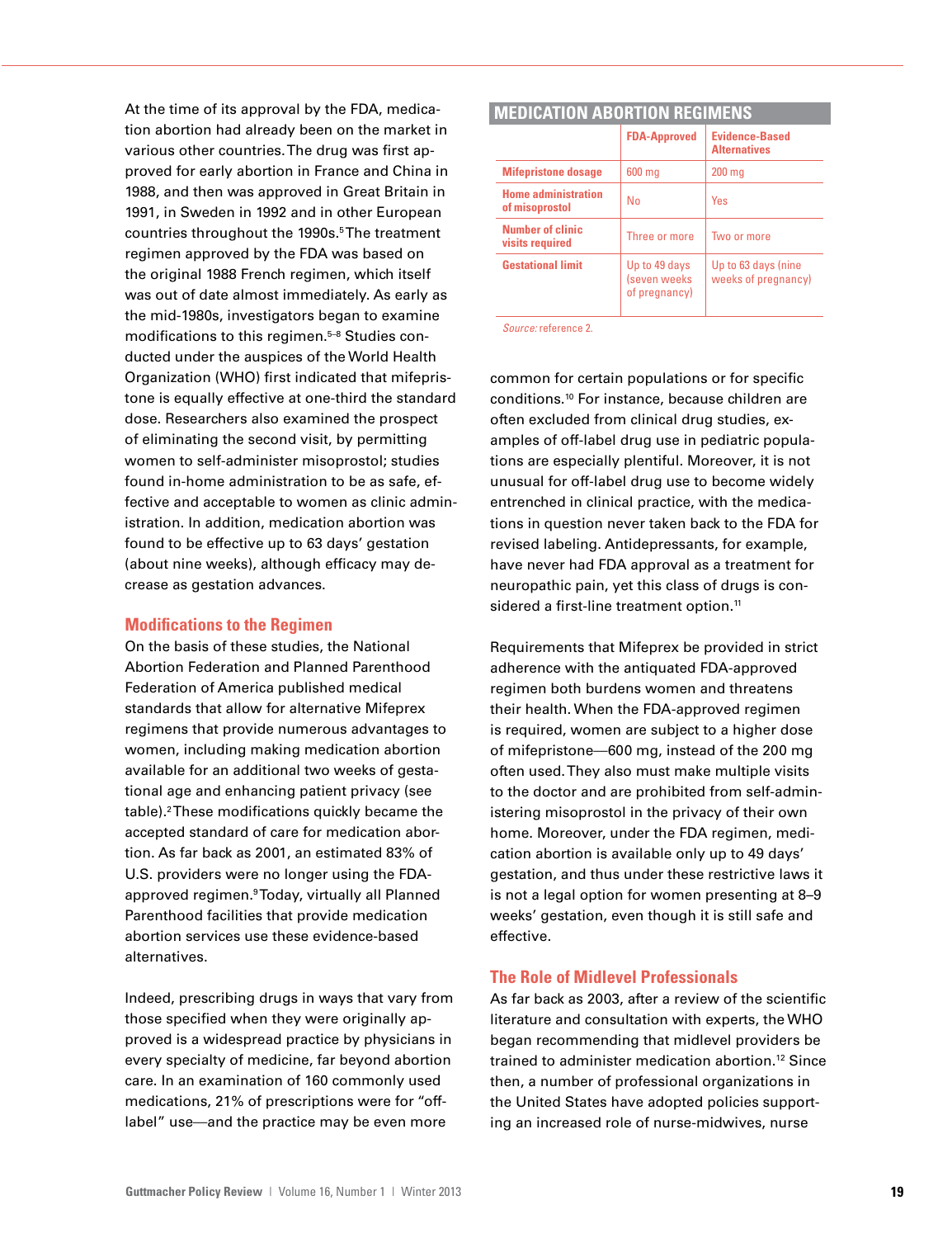At the time of its approval by the FDA, medication abortion had already been on the market in various other countries. The drug was first approved for early abortion in France and China in 1988, and then was approved in Great Britain in 1991, in Sweden in 1992 and in other European countries throughout the 1990s.5 The treatment regimen approved by the FDA was based on the original 1988 French regimen, which itself was out of date almost immediately. As early as the mid-1980s, investigators began to examine modifications to this regimen.<sup>5-8</sup> Studies conducted under the auspices of the World Health Organization (WHO) first indicated that mifepristone is equally effective at one-third the standard dose. Researchers also examined the prospect of eliminating the second visit, by permitting women to self-administer misoprostol; studies found in-home administration to be as safe, effective and acceptable to women as clinic administration. In addition, medication abortion was found to be effective up to 63 days' gestation (about nine weeks), although efficacy may decrease as gestation advances.

#### **Modifications to the Regimen**

On the basis of these studies, the National Abortion Federation and Planned Parenthood Federation of America published medical standards that allow for alternative Mifeprex regimens that provide numerous advantages to women, including making medication abortion available for an additional two weeks of gestational age and enhancing patient privacy (see table).2 These modifications quickly became the accepted standard of care for medication abortion. As far back as 2001, an estimated 83% of U.S. providers were no longer using the FDAapproved regimen.<sup>9</sup> Today, virtually all Planned Parenthood facilities that provide medication abortion services use these evidence-based alternatives.

Indeed, prescribing drugs in ways that vary from those specified when they were originally approved is a widespread practice by physicians in every specialty of medicine, far beyond abortion care. In an examination of 160 commonly used medications, 21% of prescriptions were for "offlabel" use—and the practice may be even more

| <b>MEDICATION ABORTION REGIMENS</b>          |                                                |                                              |
|----------------------------------------------|------------------------------------------------|----------------------------------------------|
|                                              | <b>FDA-Approved</b>                            | <b>Evidence-Based</b><br><b>Alternatives</b> |
| <b>Mifepristone dosage</b>                   | 600 mg                                         | $200 \text{ mg}$                             |
| <b>Home administration</b><br>of misoprostol | No                                             | <b>Yes</b>                                   |
| Number of clinic<br>visits required          | Three or more                                  | Two or more                                  |
| <b>Gestational limit</b>                     | Up to 49 days<br>(seven weeks<br>of pregnancy) | Up to 63 days (nine<br>weeks of pregnancy)   |

*Source:* reference 2.

common for certain populations or for specific conditions.10 For instance, because children are often excluded from clinical drug studies, examples of off-label drug use in pediatric populations are especially plentiful. Moreover, it is not unusual for off-label drug use to become widely entrenched in clinical practice, with the medications in question never taken back to the FDA for revised labeling. Antidepressants, for example, have never had FDA approval as a treatment for neuropathic pain, yet this class of drugs is considered a first-line treatment option.<sup>11</sup>

Requirements that Mifeprex be provided in strict adherence with the antiquated FDA-approved regimen both burdens women and threatens their health. When the FDA-approved regimen is required, women are subject to a higher dose of mifepristone—600 mg, instead of the 200 mg often used. They also must make multiple visits to the doctor and are prohibited from self-administering misoprostol in the privacy of their own home. Moreover, under the FDA regimen, medication abortion is available only up to 49 days' gestation, and thus under these restrictive laws it is not a legal option for women presenting at 8–9 weeks' gestation, even though it is still safe and effective.

### **The Role of Midlevel Professionals**

As far back as 2003, after a review of the scientific literature and consultation with experts, the WHO began recommending that midlevel providers be trained to administer medication abortion.12 Since then, a number of professional organizations in the United States have adopted policies supporting an increased role of nurse-midwives, nurse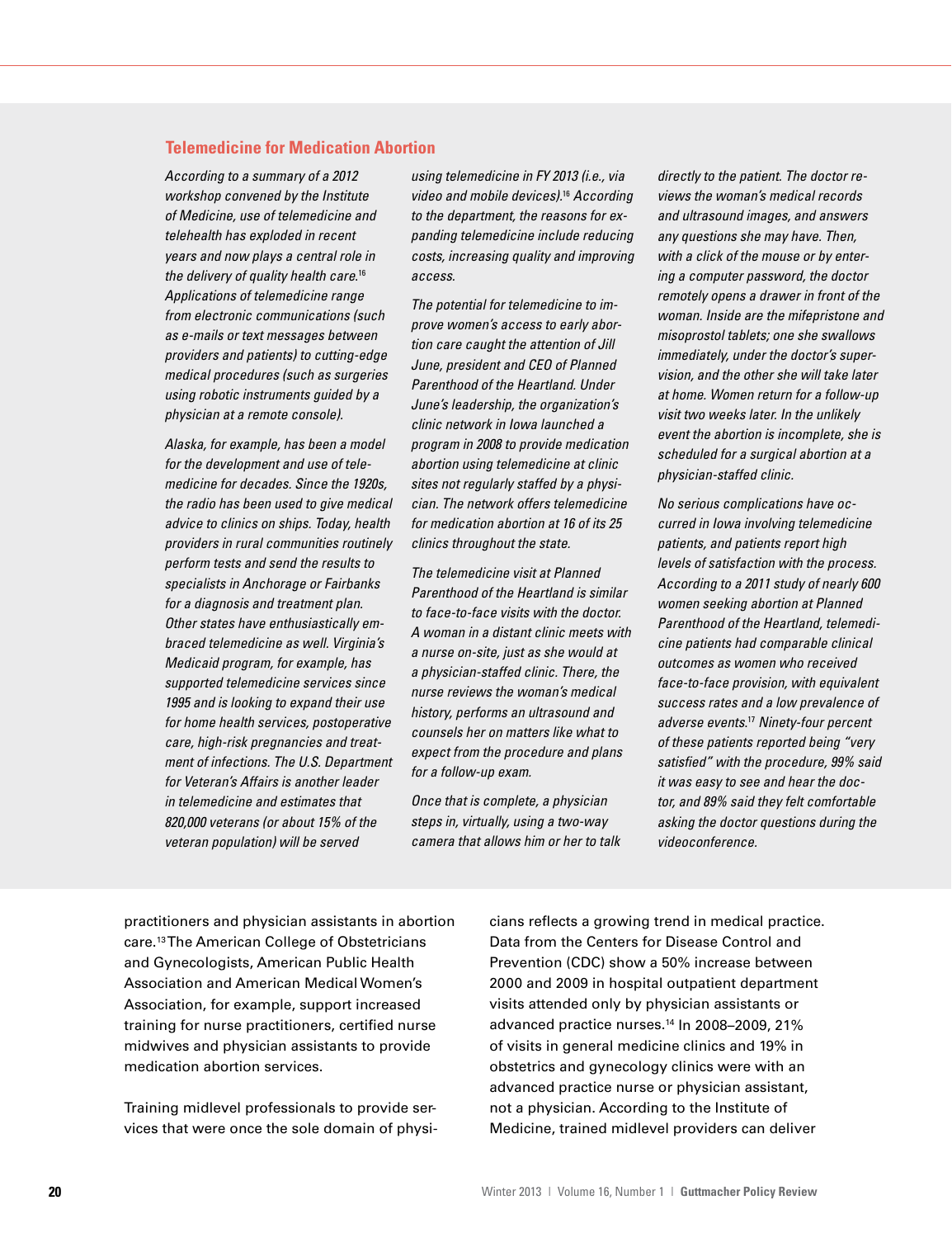## **Telemedicine for Medication Abortion**

*According to a summary of a 2012 workshop convened by the Institute of Medicine, use of telemedicine and telehealth has exploded in recent years and now plays a central role in the delivery of quality health care*. 16 *Applications of telemedicine range from electronic communications (such as e-mails or text messages between providers and patients) to cutting-edge medical procedures (such as surgeries using robotic instruments guided by a physician at a remote console).* 

*Alaska, for example, has been a model for the development and use of telemedicine for decades. Since the 1920s, the radio has been used to give medical advice to clinics on ships. Today, health providers in rural communities routinely perform tests and send the results to specialists in Anchorage or Fairbanks for a diagnosis and treatment plan. Other states have enthusiastically embraced telemedicine as well. Virginia's Medicaid program, for example, has supported telemedicine services since 1995 and is looking to expand their use for home health services, postoperative care, high-risk pregnancies and treatment of infections. The U.S. Department for Veteran's Affairs is another leader in telemedicine and estimates that 820,000 veterans (or about 15% of the veteran population) will be served* 

*using telemedicine in FY 2013 (i.e., via video and mobile devices).*16 *According to the department, the reasons for expanding telemedicine include reducing costs, increasing quality and improving access.*

*The potential for telemedicine to improve women's access to early abortion care caught the attention of Jill June, president and CEO of Planned Parenthood of the Heartland. Under June's leadership, the organization's clinic network in Iowa launched a program in 2008 to provide medication abortion using telemedicine at clinic sites not regularly staffed by a physician. The network offers telemedicine for medication abortion at 16 of its 25 clinics throughout the state.*

*The telemedicine visit at Planned Parenthood of the Heartland is similar to face-to-face visits with the doctor. A woman in a distant clinic meets with a nurse on-site, just as she would at a physician-staffed clinic. There, the nurse reviews the woman's medical history, performs an ultrasound and counsels her on matters like what to expect from the procedure and plans for a follow-up exam.*

*Once that is complete, a physician steps in, virtually, using a two-way camera that allows him or her to talk*  *directly to the patient. The doctor reviews the woman's medical records and ultrasound images, and answers any questions she may have. Then, with a click of the mouse or by entering a computer password, the doctor remotely opens a drawer in front of the woman. Inside are the mifepristone and misoprostol tablets; one she swallows immediately, under the doctor's supervision, and the other she will take later at home. Women return for a follow-up visit two weeks later. In the unlikely event the abortion is incomplete, she is scheduled for a surgical abortion at a physician-staffed clinic.*

*No serious complications have occurred in Iowa involving telemedicine patients, and patients report high levels of satisfaction with the process. According to a 2011 study of nearly 600 women seeking abortion at Planned Parenthood of the Heartland, telemedicine patients had comparable clinical outcomes as women who received face-to-face provision, with equivalent success rates and a low prevalence of adverse events*. <sup>17</sup> *Ninety-four percent of these patients reported being "very satisfied" with the procedure, 99% said it was easy to see and hear the doctor, and 89% said they felt comfortable asking the doctor questions during the videoconference.*

practitioners and physician assistants in abortion care.13 The American College of Obstetricians and Gynecologists, American Public Health Association and American Medical Women's Association, for example, support increased training for nurse practitioners, certified nurse midwives and physician assistants to provide medication abortion services.

Training midlevel professionals to provide services that were once the sole domain of physicians reflects a growing trend in medical practice. Data from the Centers for Disease Control and Prevention (CDC) show a 50% increase between 2000 and 2009 in hospital outpatient department visits attended only by physician assistants or advanced practice nurses.14 In 2008–2009, 21% of visits in general medicine clinics and 19% in obstetrics and gynecology clinics were with an advanced practice nurse or physician assistant, not a physician. According to the Institute of Medicine, trained midlevel providers can deliver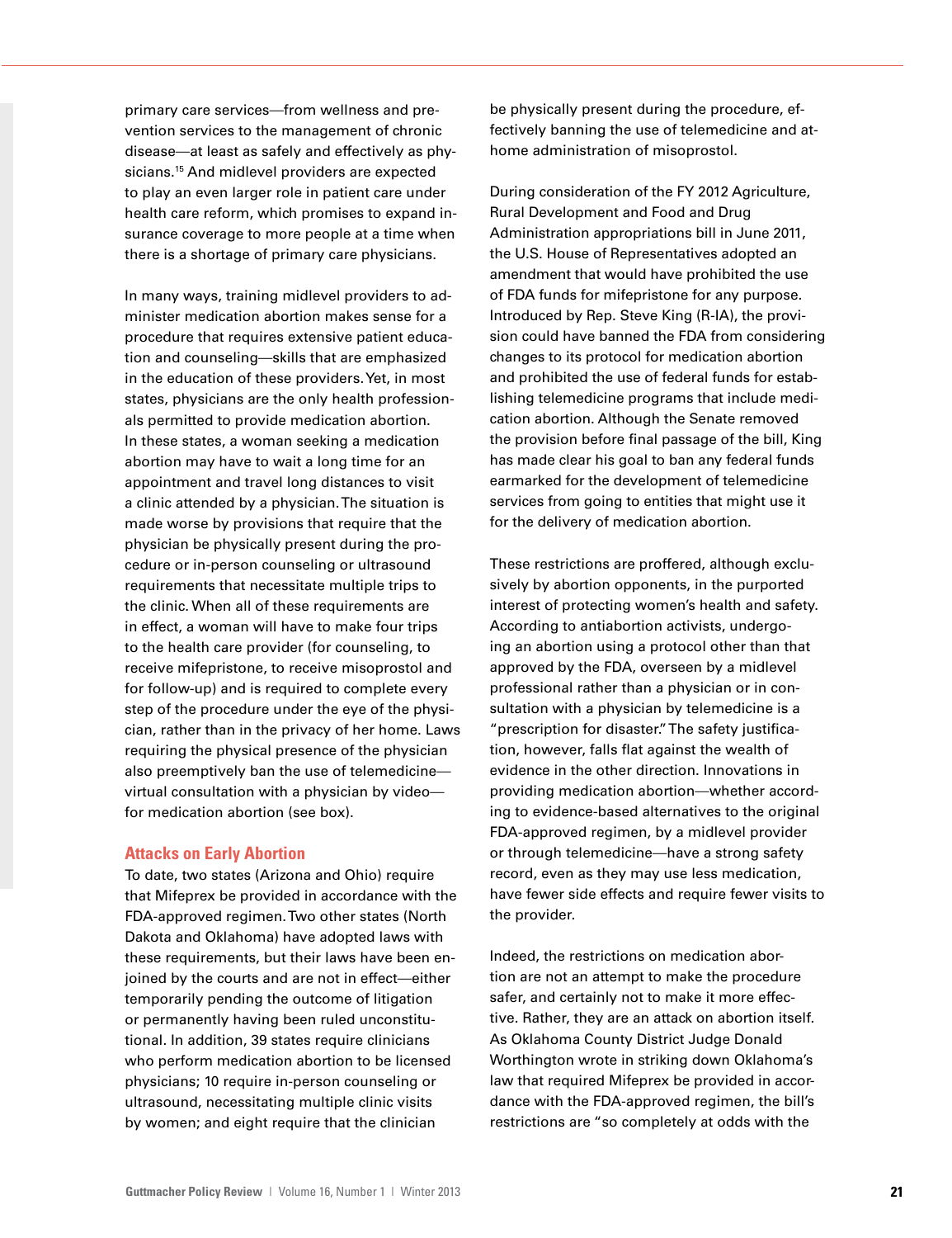primary care services—from wellness and prevention services to the management of chronic disease—at least as safely and effectively as physicians.<sup>15</sup> And midlevel providers are expected to play an even larger role in patient care under health care reform, which promises to expand insurance coverage to more people at a time when there is a shortage of primary care physicians.

In many ways, training midlevel providers to administer medication abortion makes sense for a procedure that requires extensive patient education and counseling—skills that are emphasized in the education of these providers. Yet, in most states, physicians are the only health professionals permitted to provide medication abortion. In these states, a woman seeking a medication abortion may have to wait a long time for an appointment and travel long distances to visit a clinic attended by a physician. The situation is made worse by provisions that require that the physician be physically present during the procedure or in-person counseling or ultrasound requirements that necessitate multiple trips to the clinic. When all of these requirements are in effect, a woman will have to make four trips to the health care provider (for counseling, to receive mifepristone, to receive misoprostol and for follow-up) and is required to complete every step of the procedure under the eye of the physician, rather than in the privacy of her home. Laws requiring the physical presence of the physician also preemptively ban the use of telemedicine virtual consultation with a physician by video for medication abortion (see box).

#### **Attacks on Early Abortion**

To date, two states (Arizona and Ohio) require that Mifeprex be provided in accordance with the FDA-approved regimen. Two other states (North Dakota and Oklahoma) have adopted laws with these requirements, but their laws have been enjoined by the courts and are not in effect—either temporarily pending the outcome of litigation or permanently having been ruled unconstitutional. In addition, 39 states require clinicians who perform medication abortion to be licensed physicians; 10 require in-person counseling or ultrasound, necessitating multiple clinic visits by women; and eight require that the clinician

be physically present during the procedure, effectively banning the use of telemedicine and athome administration of misoprostol.

During consideration of the FY 2012 Agriculture, Rural Development and Food and Drug Administration appropriations bill in June 2011, the U.S. House of Representatives adopted an amendment that would have prohibited the use of FDA funds for mifepristone for any purpose. Introduced by Rep. Steve King (R-IA), the provision could have banned the FDA from considering changes to its protocol for medication abortion and prohibited the use of federal funds for establishing telemedicine programs that include medication abortion. Although the Senate removed the provision before final passage of the bill, King has made clear his goal to ban any federal funds earmarked for the development of telemedicine services from going to entities that might use it for the delivery of medication abortion.

These restrictions are proffered, although exclusively by abortion opponents, in the purported interest of protecting women's health and safety. According to antiabortion activists, undergoing an abortion using a protocol other than that approved by the FDA, overseen by a midlevel professional rather than a physician or in consultation with a physician by telemedicine is a "prescription for disaster." The safety justification, however, falls flat against the wealth of evidence in the other direction. Innovations in providing medication abortion—whether according to evidence-based alternatives to the original FDA-approved regimen, by a midlevel provider or through telemedicine—have a strong safety record, even as they may use less medication, have fewer side effects and require fewer visits to the provider.

Indeed, the restrictions on medication abortion are not an attempt to make the procedure safer, and certainly not to make it more effective. Rather, they are an attack on abortion itself. As Oklahoma County District Judge Donald Worthington wrote in striking down Oklahoma's law that required Mifeprex be provided in accordance with the FDA-approved regimen, the bill's restrictions are "so completely at odds with the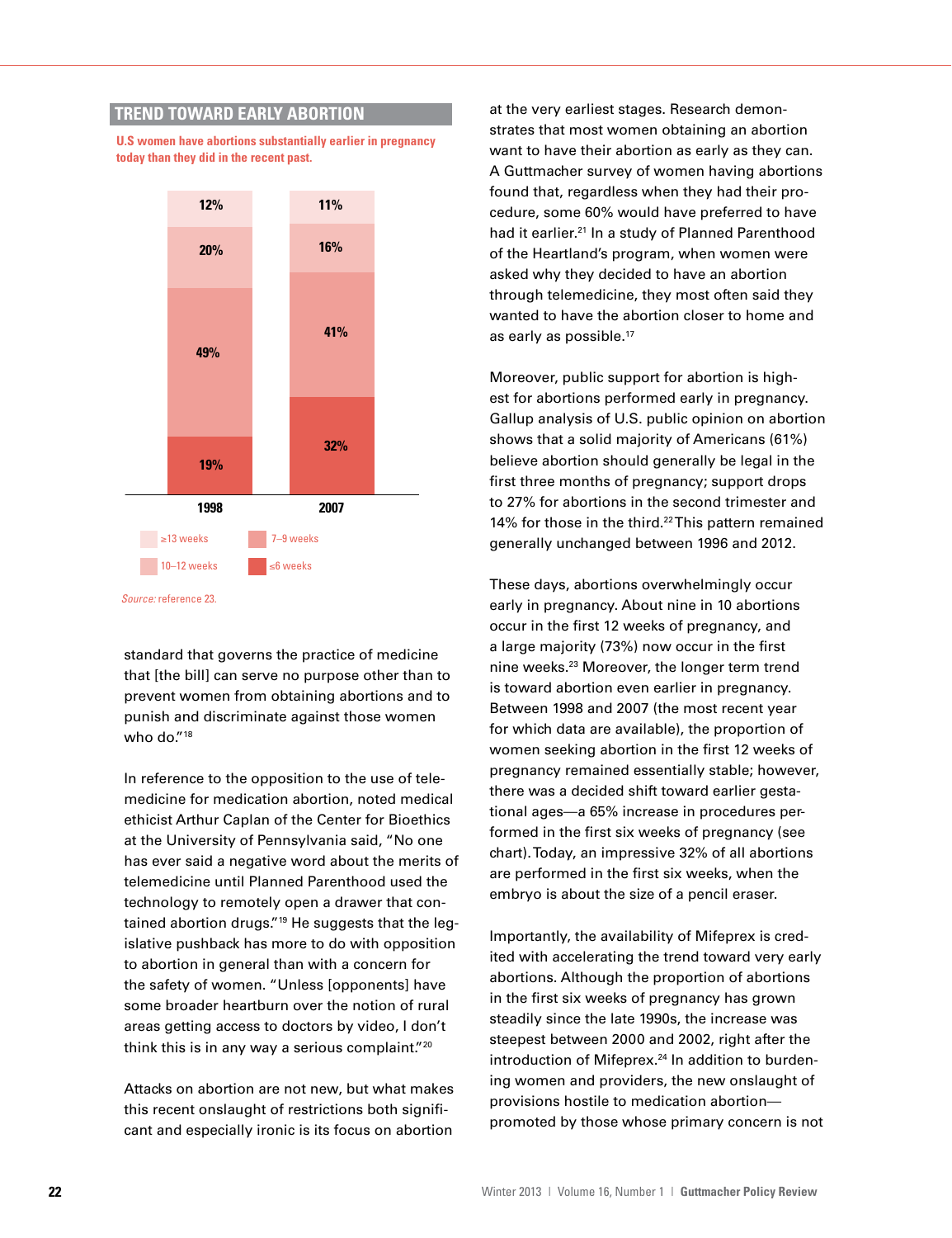## **TREND TOWARD EARLY ABORTION**

**U.S women have abortions substantially earlier in pregnancy today than they did in the recent past.**



*Source:* reference 23.

standard that governs the practice of medicine that [the bill] can serve no purpose other than to prevent women from obtaining abortions and to punish and discriminate against those women who do."18

In reference to the opposition to the use of telemedicine for medication abortion, noted medical ethicist Arthur Caplan of the Center for Bioethics at the University of Pennsylvania said, "No one has ever said a negative word about the merits of telemedicine until Planned Parenthood used the technology to remotely open a drawer that contained abortion drugs."<sup>19</sup> He suggests that the legislative pushback has more to do with opposition to abortion in general than with a concern for the safety of women. "Unless [opponents] have some broader heartburn over the notion of rural areas getting access to doctors by video, I don't think this is in any way a serious complaint."<sup>20</sup>

Attacks on abortion are not new, but what makes this recent onslaught of restrictions both significant and especially ironic is its focus on abortion

at the very earliest stages. Research demonstrates that most women obtaining an abortion want to have their abortion as early as they can. A Guttmacher survey of women having abortions found that, regardless when they had their procedure, some 60% would have preferred to have had it earlier.<sup>21</sup> In a study of Planned Parenthood of the Heartland's program, when women were of the Heartland b program, when we hier we<br>asked why they decided to have an abortion through telemedicine, they most often said they wanted to have the abortion closer to home and as early as possible.<sup>17</sup>

Moreover, public support for abortion is highest for abortions performed early in pregnancy. Gallup analysis of U.S. public opinion on abortion shows that a solid majority of Americans (61%) believe abortion should generally be legal in the first three months of pregnancy; support drops to 27% for abortions in the second trimester and 14% for those in the third.<sup>22</sup> This pattern remained generally unchanged between 1996 and 2012.

These days, abortions overwhelmingly occur early in pregnancy. About nine in 10 abortions occur in the first 12 weeks of pregnancy, and a large majority (73%) now occur in the first nine weeks.23 Moreover, the longer term trend is toward abortion even earlier in pregnancy. Between 1998 and 2007 (the most recent year for which data are available), the proportion of women seeking abortion in the first 12 weeks of pregnancy remained essentially stable; however, there was a decided shift toward earlier gestational ages—a 65% increase in procedures performed in the first six weeks of pregnancy (see chart). Today, an impressive 32% of all abortions are performed in the first six weeks, when the embryo is about the size of a pencil eraser.

Importantly, the availability of Mifeprex is credited with accelerating the trend toward very early abortions. Although the proportion of abortions in the first six weeks of pregnancy has grown steadily since the late 1990s, the increase was steepest between 2000 and 2002, right after the introduction of Mifeprex.<sup>24</sup> In addition to burdening women and providers, the new onslaught of provisions hostile to medication abortion promoted by those whose primary concern is not